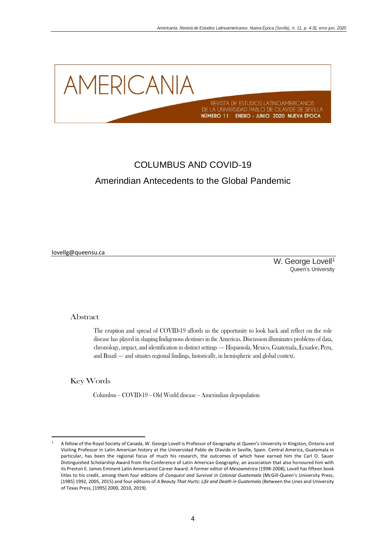

# COLUMBUS AND COVID-19 Amerindian Antecedents to the Global Pandemic

lovellg@queensu.ca

W. George Lovell<sup>1</sup> Queen's University

#### Abstract

The eruption and spread of COVID-19 affords us the opportunity to look back and reflect on the role disease has played in shaping Indigenous destinies in the Americas. Discussion illuminates problems of data, chronology, impact, and identification in distinct settings — Hispaniola, Mexico, Guatemala, Ecuador, Peru, and Brazil — and situates regional findings, historically, in hemispheric and global context.

Key Words

Columbus – COVID-19 – Old World disease – Amerindian depopulation

<sup>1</sup> A fellow of the Royal Society of Canada, W. George Lovell is Professor of Geography at Queen's University in Kingston, Ontario and Visiting Professor in Latin American history at the Universidad Pablo de Olavide in Seville, Spain. Central America, Guatemala in particular, has been the regional focus of much his research, the outcomes of which have earned him the Carl O. Sauer Distinguished Scholarship Award from the Conference of Latin American Geography, an association that also honoured him with its Preston E. James Eminent Latin Americanist Career Award. A former editor of *Mesoamérica* (1998-2008), Lovell has fifteen book titles to his credit, among them four editions of *Conquest and Survival in Colonial Guatemala* (McGill-Queen's University Press, [1985] 1992, 2005, 2015) and four editions of *A Beauty That Hurts: Life and Death in Guatemala* (Between the Lines and University of Texas Press, [1995] 2000, 2010, 2019).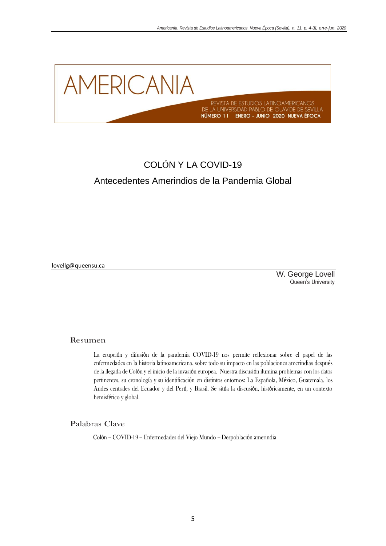

# COLÓN Y LA COVID-19 Antecedentes Amerindios de la Pandemia Global

lovellg@queensu.ca

W. George Lovell Queen's University

# Resumen

La erupción y difusión de la pandemia COVID-19 nos permite reflexionar sobre el papel de las enfermedades en la historia latinoamericana, sobre todo su impacto en las poblaciones amerindias después de la llegada de Colón y el inicio de la invasión europea. Nuestra discusión ilumina problemas con los datos pertinentes, su cronología y su identificación en distintos entornos: La Española, México, Guatemala, los Andes centrales del Ecuador y del Perú, y Brasil. Se sitúa la discusión, históricamente, en un contexto hemisférico y global.

Palabras Clave

Colón – COVID-19 – Enfermedades del Viejo Mundo – Despoblación amerindia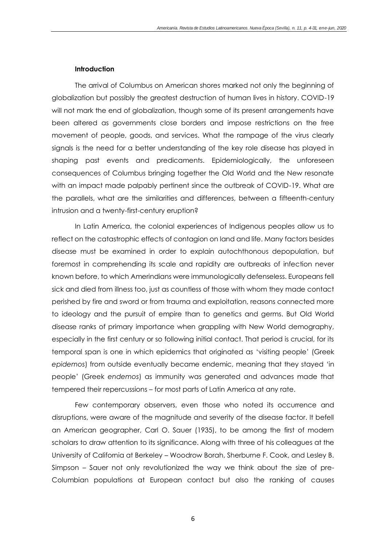# **Introduction**

The arrival of Columbus on American shores marked not only the beginning of globalization but possibly the greatest destruction of human lives in history. COVID-19 will not mark the end of globalization, though some of its present arrangements have been altered as governments close borders and impose restrictions on the free movement of people, goods, and services. What the rampage of the virus clearly signals is the need for a better understanding of the key role disease has played in shaping past events and predicaments. Epidemiologically, the unforeseen consequences of Columbus bringing together the Old World and the New resonate with an impact made palpably pertinent since the outbreak of COVID-19. What are the parallels, what are the similarities and differences, between a fifteenth-century intrusion and a twenty-first-century eruption?

In Latin America, the colonial experiences of Indigenous peoples allow us to reflect on the catastrophic effects of contagion on land and life. Many factors besides disease must be examined in order to explain autochthonous depopulation, but foremost in comprehending its scale and rapidity are outbreaks of infection never known before, to which Amerindians were immunologically defenseless. Europeans fell sick and died from illness too, just as countless of those with whom they made contact perished by fire and sword or from trauma and exploitation, reasons connected more to ideology and the pursuit of empire than to genetics and germs. But Old World disease ranks of primary importance when grappling with New World demography, especially in the first century or so following initial contact. That period is crucial, for its temporal span is one in which epidemics that originated as 'visiting people' (Greek *epidemos*) from outside eventually became endemic, meaning that they stayed 'in people' (Greek *endemos*) as immunity was generated and advances made that tempered their repercussions – for most parts of Latin America at any rate.

Few contemporary observers, even those who noted its occurrence and disruptions, were aware of the magnitude and severity of the disease factor. It befell an American geographer, Carl O. Sauer (1935), to be among the first of modern scholars to draw attention to its significance. Along with three of his colleagues at the University of California at Berkeley – Woodrow Borah, Sherburne F. Cook, and Lesley B. Simpson – Sauer not only revolutionized the way we think about the size of pre-Columbian populations at European contact but also the ranking of causes

6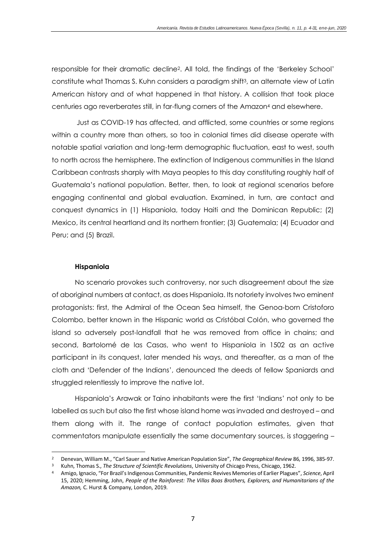responsible for their dramatic decline2. All told, the findings of the 'Berkeley School' constitute what Thomas S. Kuhn considers a paradigm shift3, an alternate view of Latin American history and of what happened in that history. A collision that took place centuries ago reverberates still, in far-flung corners of the Amazon<sup>4</sup> and elsewhere.

Just as COVID-19 has affected, and afflicted, some countries or some regions within a country more than others, so too in colonial times did disease operate with notable spatial variation and long-term demographic fluctuation, east to west, south to north across the hemisphere. The extinction of Indigenous communities in the Island Caribbean contrasts sharply with Maya peoples to this day constituting roughly half of Guatemala's national population. Better, then, to look at regional scenarios before engaging continental and global evaluation. Examined, in turn, are contact and conquest dynamics in (1) Hispaniola, today Haiti and the Dominican Republic; (2) Mexico, its central heartland and its northern frontier; (3) Guatemala; (4) Ecuador and Peru; and (5) Brazil.

# **Hispaniola**

No scenario provokes such controversy, nor such disagreement about the size of aboriginal numbers at contact, as does Hispaniola. Its notoriety involves two eminent protagonists: first, the Admiral of the Ocean Sea himself, the Genoa-born Cristoforo Colombo, better known in the Hispanic world as Cristóbal Colón, who governed the island so adversely post-landfall that he was removed from office in chains; and second, Bartolomé de las Casas, who went to Hispaniola in 1502 as an active participant in its conquest, later mended his ways, and thereafter, as a man of the cloth and 'Defender of the Indians', denounced the deeds of fellow Spaniards and struggled relentlessly to improve the native lot.

Hispaniola's Arawak or Taino inhabitants were the first 'Indians' not only to be labelled as such but also the first whose island home was invaded and destroyed – and them along with it. The range of contact population estimates, given that commentators manipulate essentially the same documentary sources, is staggering –

<sup>2</sup> Denevan, William M., "Carl Sauer and Native American Population Size", *The Geographical Review* 86, 1996, 385-97.

<sup>3</sup> Kuhn, Thomas S., *The Structure of Scientific Revolutions*, University of Chicago Press, Chicago, 1962.

<sup>4</sup> Amigo, Ignacio, "For Brazil's Indigenous Communities, Pandemic Revives Memories of Earlier Plagues", *Science*, April 15, 2020; Hemming, John, *People of the Rainforest: The Villas Boas Brothers, Explorers, and Humanitarians of the Amazon,* C. Hurst & Company, London, 2019.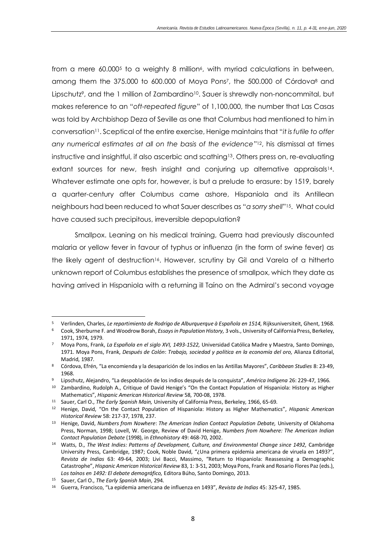from a mere 60.000<sup>5</sup> to a weighty 8 million<sup>6</sup>, with myriad calculations in between, among them the 375.000 to 600.000 of Moya Pons7, the 500.000 of Córdova<sup>8</sup> and Lipschutz<sup>9</sup>, and the 1 million of Zambardino<sup>10</sup>. Sauer is shrewdly non-noncommital, but makes reference to an "*oft-repeated figure*" of 1,100,000, the number that Las Casas was told by Archbishop Deza of Seville as one that Columbus had mentioned to him in conversation11. Sceptical of the entire exercise, Henige maintains that "*it is futile to offer*  any numerical estimates at all on the basis of the evidence"<sup>12</sup>, his dismissal at times instructive and insightful, if also ascerbic and scathing13. Others press on, re-evaluating extant sources for new, fresh insight and conjuring up alternative appraisals<sup>14</sup>. Whatever estimate one opts for, however, is but a prelude to erasure: by 1519, barely a quarter-century after Columbus came ashore, Hispaniola and its Antillean neighbours had been reduced to what Sauer describes as "*a sorry shell*"15. What could have caused such precipitous, irreversible depopulation?

Smallpox. Leaning on his medical training, Guerra had previously discounted malaria or yellow fever in favour of typhus or influenza (in the form of swine fever) as the likely agent of destruction16. However, scrutiny by Gil and Varela of a hitherto unknown report of Columbus establishes the presence of smallpox, which they date as having arrived in Hispaniola with a returning ill Taíno on the Admiral's second voyage

<sup>5</sup> Verlinden, Charles, *Le repartimiento de Rodrigo de Alburquerque à Española en 1514,* Rijksuniversiteit, Ghent, 1968.

<sup>6</sup> Cook, Sherburne F. and Woodrow Borah, *Essays in Population History,* 3 vols., University of California Press, Berkeley, 1971, 1974, 1979.

<sup>7</sup> Moya Pons, Frank, *La Española en el siglo XVI, 1493-1522,* Universidad Católica Madre y Maestra, Santo Domingo, 1971. Moya Pons, Frank, *Después de Colón*: *Trabajo, sociedad y política en la economía del oro,* Alianza Editorial, Madrid, 1987.

<sup>8</sup> Córdova, Efrén, "La encomienda y la desaparición de los indios en las Antillas Mayores", *Caribbean Studies* 8: 23-49, 1968.

<sup>9</sup> Lipschutz, Alejandro, "La despoblación de los indios después de la conquista", *América Indígena* 26: 229-47, 1966.

<sup>10</sup> Zambardino, Rudolph A., Critique of David Henige's "On the Contact Population of Hispaniola: History as Higher Mathematics", *Hispanic American Historical Review* 58, 700-08, 1978.

<sup>11</sup> Sauer, Carl O., *The Early Spanish Main,* University of California Press, Berkeley, 1966, 65-69.

<sup>12</sup> Henige, David, "On the Contact Population of Hispaniola: History as Higher Mathematics", *Hispanic American Historical Review* 58: 217-37, 1978, 237.

<sup>13</sup> Henige, David, *Numbers from Nowhere*: *The American Indian Contact Population Debate,* University of Oklahoma Press, Norman, 1998; Lovell, W. George, Review of David Henige, *Numbers from Nowhere: The American Indian Contact Population Debate* (1998), in *Ethnohistory* 49: 468-70, 2002.

<sup>14</sup> Watts, D., *The West Indies: Patterns of Development, Culture, and Environmental Change since 1492,* Cambridge University Press, Cambridge, 1987; Cook, Noble David, "¿Una primera epidemia americana de viruela en 1493?", *Revista de Indias* 63: 49-64, 2003; Livi Bacci, Massimo, "Return to Hispaniola: Reassessing a Demographic Catastrophe", *Hispanic American Historical Review* 83, 1: 3-51, 2003; Moya Pons, Frank and Rosario Flores Paz(eds.), *Los taínos en 1492: El debate demográfico,* Editora Búho, Santo Domingo, 2013.

<sup>15</sup> Sauer, Carl O., *The Early Spanish Main*, 294.

<sup>16</sup> Guerra, Francisco, "La epidemia americana de influenza en 1493", *Revista de Indias* 45: 325-47, 1985.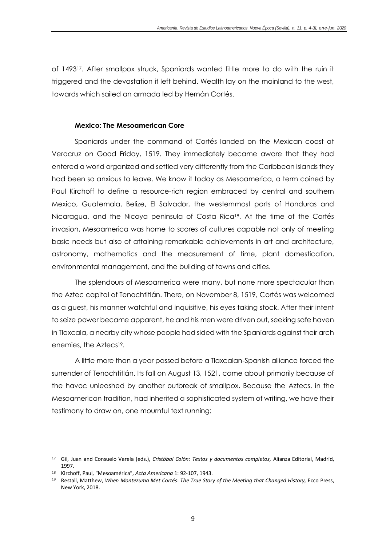of 149317. After smallpox struck, Spaniards wanted little more to do with the ruin it triggered and the devastation it left behind. Wealth lay on the mainland to the west, towards which sailed an armada led by Hernán Cortés.

# **Mexico: The Mesoamerican Core**

Spaniards under the command of Cortés landed on the Mexican coast at Veracruz on Good Friday, 1519. They immediately became aware that they had entered a world organized and settled very differently from the Caribbean islands they had been so anxious to leave. We know it today as Mesoamerica, a term coined by Paul Kirchoff to define a resource-rich region embraced by central and southern Mexico, Guatemala, Belize, El Salvador, the westernmost parts of Honduras and Nicaragua, and the Nicoya peninsula of Costa Rica18. At the time of the Cortés invasion, Mesoamerica was home to scores of cultures capable not only of meeting basic needs but also of attaining remarkable achievements in art and architecture, astronomy, mathematics and the measurement of time, plant domestication, environmental management, and the building of towns and cities.

The splendours of Mesoamerica were many, but none more spectacular than the Aztec capital of Tenochtitlán. There, on November 8, 1519, Cortés was welcomed as a guest, his manner watchful and inquisitive, his eyes taking stock. After their intent to seize power became apparent, he and his men were driven out, seeking safe haven in Tlaxcala, a nearby city whose people had sided with the Spaniards against their arch enemies, the Aztecs19.

A little more than a year passed before a Tlaxcalan-Spanish alliance forced the surrender of Tenochtitlán. Its fall on August 13, 1521, came about primarily because of the havoc unleashed by another outbreak of smallpox. Because the Aztecs, in the Mesoamerican tradition, had inherited a sophisticated system of writing, we have their testimony to draw on, one mournful text running:

<sup>17</sup> Gil, Juan and Consuelo Varela (eds.), *Cristóbal Colón: Textos y documentos completos,* Alianza Editorial, Madrid, 1997.

<sup>18</sup> Kirchoff, Paul, "Mesoamérica", *Acta Americana* 1: 92-107, 1943.

<sup>19</sup> Restall, Matthew, *When Montezuma Met Cortés*: *The True Story of the Meeting that Changed History,* Ecco Press, New York, 2018.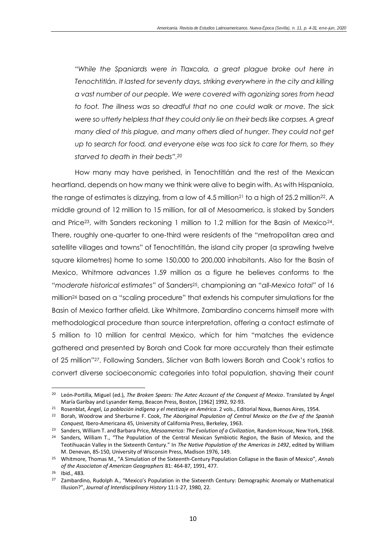*"While the Spaniards were in Tlaxcala, a great plague broke out here in Tenochtitlán. It lasted for seventy days, striking everywhere in the city and killing a vast number of our people. We were covered with agonizing sores from head to foot. The illness was so dreadful that no one could walk or move. The sick were so utterly helpless that they could only lie on their beds like corpses. A great many died of this plague, and many others died of hunger. They could not get up to search for food, and everyone else was too sick to care for them, so they starved to death in their beds". 20*

How many may have perished, in Tenochtitlán and the rest of the Mexican heartland, depends on how many we think were alive to begin with. As with Hispaniola, the range of estimates is dizzying, from a low of 4.5 million<sup>21</sup> to a high of 25.2 million<sup>22</sup>. A middle ground of 12 million to 15 million, for all of Mesoamerica, is staked by Sanders and Price<sup>23</sup>, with Sanders reckoning 1 million to 1.2 million for the Basin of Mexico<sup>24</sup>. There, roughly one-quarter to one-third were residents of the "metropolitan area and satellite villages and towns" of Tenochtitlán, the island city proper (a sprawling twelve square kilometres) home to some 150,000 to 200,000 inhabitants. Also for the Basin of Mexico, Whitmore advances 1.59 million as a figure he believes conforms to the "*moderate historical estimates*" of Sanders25, championing an "*all-Mexico total*" of 16 million<sup>26</sup> based on a "scaling procedure" that extends his computer simulations for the Basin of Mexico farther afield. Like Whitmore, Zambardino concerns himself more with methodological procedure than source interpretation, offering a contact estimate of 5 million to 10 million for central Mexico, which for him "matches the evidence gathered and presented by Borah and Cook far more accurately than their estimate of 25 million"27. Following Sanders, Slicher van Bath lowers Borah and Cook's ratios to convert diverse socioeconomic categories into total population, shaving their count

<sup>20</sup> León-Portilla, Miguel (ed.), *The Broken Spears: The Aztec Account of the Conquest of Mexico*. Translated by Ángel María Garibay and Lysander Kemp, Beacon Press, Boston, [1962] 1992, 92-93.

<sup>21</sup> Rosenblat, Ángel, *La población indígena y el mestizaje en América*. 2 vols., Editorial Nova, Buenos Aires, 1954.

<sup>22</sup> Borah, Woodrow and Sherburne F. Cook, *The Aboriginal Population of Central Mexico on the Eve of the Spanish Conquest,* Ibero-Americana 45, University of California Press, Berkeley, 1963.

<sup>23</sup> Sanders, William T. and Barbara Price, *Mesoamerica: The Evolution of a Civilization,* Random House, New York, 1968.

<sup>&</sup>lt;sup>24</sup> Sanders, William T., "The Population of the Central Mexican Symbiotic Region, the Basin of Mexico, and the Teotihuacán Valley in the Sixteenth Century." In *The Native Population of the Americas in 1492*, edited by William M. Denevan, 85-150, University of Wisconsin Press, Madison 1976, 149.

<sup>25</sup> Whitmore, Thomas M., "A Simulation of the Sixteenth-Century Population Collapse in the Basin of Mexico", *Annals of the Associaton of American Geographers* 81: 464-87, 1991, 477.

<sup>26</sup> Ibid., 483.

<sup>27</sup> Zambardino, Rudolph A., "Mexico's Population in the Sixteenth Century: Demographic Anomaly or Mathematical Illusion?", *Journal of Interdisciplinary History* 11:1-27, 1980, 22.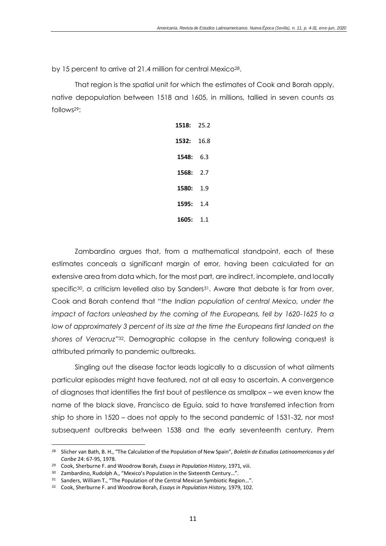by 15 percent to arrive at 21.4 million for central Mexico28.

That region is the spatial unit for which the estimates of Cook and Borah apply, native depopulation between 1518 and 1605, in millions, tallied in seven counts as follows29:

| 1518: | 25.2 |
|-------|------|
| 1532: | 16.8 |
| 1548: | 6.3  |
| 1568: | 2.7  |
| 1580: | 1.9  |
| 1595: | 14   |
| 1605: | 1.1  |

Zambardino argues that, from a mathematical standpoint, each of these estimates conceals a significant margin of error, having been calculated for an extensive area from data which, for the most part, are indirect, incomplete, and locally specific<sup>30</sup>, a criticism levelled also by Sanders<sup>31</sup>. Aware that debate is far from over, Cook and Borah contend that "*the Indian population of central Mexico, under the impact of factors unleashed by the coming of the Europeans, fell by 1620-1625 to a* low of approximately 3 percent of its size at the time the Europeans first landed on the *shores of Veracruz*"32. Demographic collapse in the century following conquest is attributed primarily to pandemic outbreaks.

Singling out the disease factor leads logically to a discussion of what ailments particular episodes might have featured, not at all easy to ascertain. A convergence of diagnoses that identifies the first bout of pestilence as smallpox – we even know the name of the black slave, Francisco de Eguía, said to have transferred infection from ship to shore in 1520 – does not apply to the second pandemic of 1531-32, nor most subsequent outbreaks between 1538 and the early seventeenth century. Prem

<sup>28</sup> Slicher van Bath, B. H., "The Calculation of the Population of New Spain", *Boletín de Estudios Latinoamericanos y del Caribe* 24: 67-95, 1978.

<sup>29</sup> Cook, Sherburne F. and Woodrow Borah, *Essays in Population History*, 1971, viii.

<sup>&</sup>lt;sup>30</sup> Zambardino, Rudolph A., "Mexico's Population in the Sixteenth Century...".

<sup>&</sup>lt;sup>31</sup> Sanders, William T., "The Population of the Central Mexican Symbiotic Region...".

<sup>32</sup> Cook, Sherburne F. and Woodrow Borah, *Essays in Population History,* 1979, 102.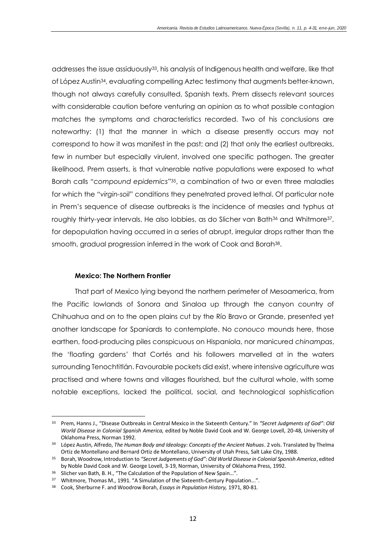addresses the issue assiduously33, his analysis of Indigenous health and welfare, like that of López Austin34, evaluating compelling Aztec testimony that augments better-known, though not always carefully consulted, Spanish texts. Prem dissects relevant sources with considerable caution before venturing an opinion as to what possible contagion matches the symptoms and characteristics recorded. Two of his conclusions are noteworthy: (1) that the manner in which a disease presently occurs may not correspond to how it was manifest in the past; and (2) that only the earliest outbreaks, few in number but especially virulent, involved one specific pathogen. The greater likelihood, Prem asserts, is that vulnerable native populations were exposed to what Borah calls "*compound epidemics*"35, a combination of two or even three maladies for which the "*virgin-soil*" conditions they penetrated proved lethal. Of particular note in Prem's sequence of disease outbreaks is the incidence of measles and typhus at roughly thirty-year intervals. He also lobbies, as do Slicher van Bath<sup>36</sup> and Whitmore<sup>37</sup>, for depopulation having occurred in a series of abrupt, irregular drops rather than the smooth, gradual progression inferred in the work of Cook and Borah38.

# **Mexico: The Northern Frontier**

That part of Mexico lying beyond the northern perimeter of Mesoamerica, from the Pacific lowlands of Sonora and Sinaloa up through the canyon country of Chihuahua and on to the open plains cut by the Río Bravo or Grande, presented yet another landscape for Spaniards to contemplate. No *conouco* mounds here, those earthen, food-producing piles conspicuous on Hispaniola, nor manicured *chinampas*, the 'floating gardens' that Cortés and his followers marvelled at in the waters surrounding Tenochtitlán. Favourable pockets did exist, where intensive agriculture was practised and where towns and villages flourished, but the cultural whole, with some notable exceptions, lacked the political, social, and technological sophistication

<sup>33</sup> Prem, Hanns J., "Disease Outbreaks in Central Mexico in the Sixteenth Century." In *"Secret Judgments of God"*: *Old World Disease in Colonial Spanish America,* edited by Noble David Cook and W. George Lovell, 20-48, University of Oklahoma Press, Norman 1992.

<sup>34</sup> López Austin, Alfredo, *The Human Body and Ideology: Concepts of the Ancient Nahuas*. 2 vols. Translated by Thelma Ortiz de Montellano and Bernard Ortiz de Montellano, University of Utah Press, Salt Lake City, 1988.

<sup>35</sup> Borah, Woodrow, Introduction to *"Secret Judgements of God": Old World Disease in Colonial Spanish America*, edited by Noble David Cook and W. George Lovell, 3-19, Norman, University of Oklahoma Press, 1992.

<sup>&</sup>lt;sup>36</sup> Slicher van Bath, B. H., "The Calculation of the Population of New Spain...".

<sup>&</sup>lt;sup>37</sup> Whitmore, Thomas M., 1991. "A Simulation of the Sixteenth-Century Population...".

<sup>38</sup> Cook, Sherburne F. and Woodrow Borah, *Essays in Population History,* 1971, 80-81.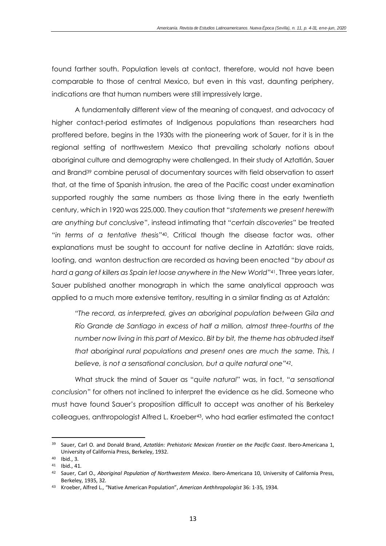found farther south. Population levels at contact, therefore, would not have been comparable to those of central Mexico, but even in this vast, daunting periphery, indications are that human numbers were still impressively large.

A fundamentally different view of the meaning of conquest, and advocacy of higher contact-period estimates of Indigenous populations than researchers had proffered before, begins in the 1930s with the pioneering work of Sauer, for it is in the regional setting of northwestern Mexico that prevailing scholarly notions about aboriginal culture and demography were challenged. In their study of Aztatlán, Sauer and Brand<sup>39</sup> combine perusal of documentary sources with field observation to assert that, at the time of Spanish intrusion, the area of the Pacific coast under examination supported roughly the same numbers as those living there in the early twentieth century, which in 1920 was 225,000. They caution that "*statements we present herewith are anything but conclusive*", instead intimating that "*certain discoveries*" be treated "*in terms of a tentative thesis*"40. Critical though the disease factor was, other explanations must be sought to account for native decline in Aztatlán: slave raids, looting, and wanton destruction are recorded as having been enacted "*by about as hard a gang of killers as Spain let loose anywhere in the New World*"41. Three years later, Sauer published another monograph in which the same analytical approach was applied to a much more extensive territory, resulting in a similar finding as at Aztalán:

*"The record, as interpreted, gives an aboriginal population between Gila and Río Grande de Santiago in excess of half a million, almost three-fourths of the number now living in this part of Mexico. Bit by bit, the theme has obtruded itself that aboriginal rural populations and present ones are much the same. This, I believe, is not a sensational conclusion, but a quite natural one"42.* 

What struck the mind of Sauer as "*quite natural*" was, in fact, "*a sensational conclusion*" for others not inclined to interpret the evidence as he did. Someone who must have found Sauer's proposition difficult to accept was another of his Berkeley colleagues, anthropologist Alfred L. Kroeber43, who had earlier estimated the contact

<sup>39</sup> Sauer, Carl O. and Donald Brand, *Aztatlán: Prehistoric Mexican Frontier on the Pacific Coast*. Ibero-Americana 1, University of California Press, Berkeley, 1932.

<sup>40</sup> Ibid., 3.

<sup>41</sup> Ibid., 41.

<sup>42</sup> Sauer, Carl O., *Aboriginal Population of Northwestern Mexico*. Ibero-Americana 10, University of California Press, Berkeley, 1935, 32.

<sup>43</sup> Kroeber, Alfred L., "Native American Population", *American Anthhropologist* 36: 1-35, 1934.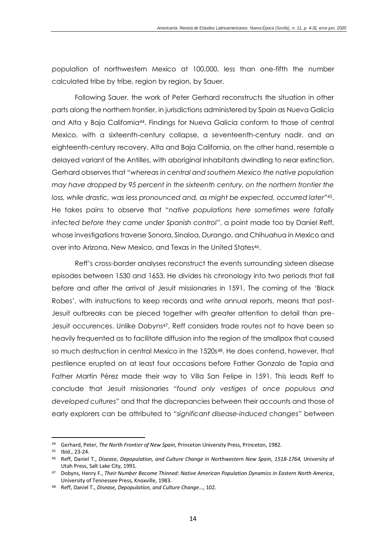population of northwestern Mexico at 100,000, less than one-fifth the number calculated tribe by tribe, region by region, by Sauer.

Following Sauer, the work of Peter Gerhard reconstructs the situation in other parts along the northern frontier, in jurisdictions administered by Spain as Nueva Galicia and Alta y Baja California44. Findings for Nueva Galicia conform to those of central Mexico, with a sixteenth-century collapse, a seventeenth-century nadir, and an eighteenth-century recovery. Alta and Baja California, on the other hand, resemble a delayed variant of the Antilles, with aboriginal inhabitants dwindling to near extinction. Gerhard observes that "*whereas in central and southern Mexico the native population may have dropped by 95 percent in the sixteenth century, on the northern frontier the loss, while drastic, was less pronounced and, as might be expected, occurred later*"45. He takes pains to observe that "*native populations here sometimes were fatally infected before they came under Spanish control*", a point made too by Daniel Reff, whose investigations traverse Sonora, Sinaloa, Durango, and Chihuahua in Mexico and over into Arizona, New Mexico, and Texas in the United States46.

Reff's cross-border analyses reconstruct the events surrounding sixteen disease episodes between 1530 and 1653. He divides his chronology into two periods that fall before and after the arrival of Jesuit missionaries in 1591. The coming of the 'Black Robes', with instructions to keep records and write annual reports, means that post-Jesuit outbreaks can be pieced together with greater attention to detail than pre-Jesuit occurences. Unlike Dobyns47, Reff considers trade routes not to have been so heavily frequented as to facilitate diffusion into the region of the smallpox that caused so much destruction in central Mexico in the 1520s<sup>48</sup>. He does contend, however, that pestilence erupted on at least four occasions before Father Gonzalo de Tapia and Father Martín Pérez made their way to Villa San Felipe in 1591. This leads Reff to conclude that Jesuit missionaries "*found only vestiges of once populous and developed cultures*" and that the discrepancies between their accounts and those of early explorers can be attributed to "*significant disease-induced changes*" between

<sup>44</sup> Gerhard, Peter, *The North Frontier of New Spain,* Princeton University Press, Princeton, 1982.

<sup>45</sup> Ibid., 23-24.

<sup>46</sup> Reff, Daniel T., *Disease, Depopulation, and Culture Change in Northwestern New Spain, 1518-1764,* University of Utah Press, Salt Lake City, 1991.

<sup>47</sup> Dobyns, Henry F., *Their Number Become Thinned: Native American Population Dynamics in Eastern North America*, University of Tennessee Press, Knoxville, 1983.

<sup>48</sup> Reff, Daniel T., *Disease, Depopulation, and Culture Change…*, 102.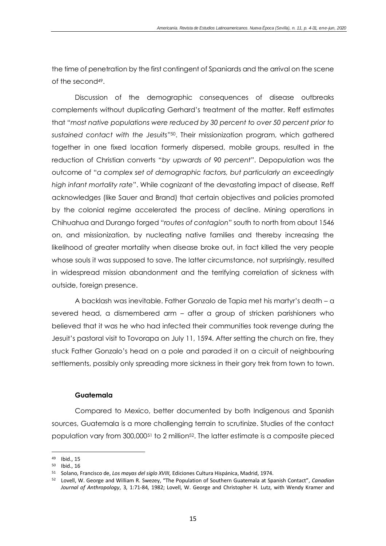the time of penetration by the first contingent of Spaniards and the arrival on the scene of the second<sup>49</sup>.

Discussion of the demographic consequences of disease outbreaks complements without duplicating Gerhard's treatment of the matter. Reff estimates that "*most native populations were reduced by 30 percent to over 50 percent prior to sustained contact with the Jesuits*"50. Their missionization program, which gathered together in one fixed location formerly dispersed, mobile groups, resulted in the reduction of Christian converts "*by upwards of 90 percent*". Depopulation was the outcome of "*a complex set of demographic factors, but particularly an exceedingly high infant mortality rate*". While cognizant of the devastating impact of disease, Reff acknowledges (like Sauer and Brand) that certain objectives and policies promoted by the colonial regime accelerated the process of decline. Mining operations in Chihuahua and Durango forged "*routes of contagion*" south to north from about 1546 on, and missionization, by nucleating native families and thereby increasing the likelihood of greater mortality when disease broke out, in fact killed the very people whose souls it was supposed to save. The latter circumstance, not surprisingly, resulted in widespread mission abandonment and the terrifying correlation of sickness with outside, foreign presence.

A backlash was inevitable. Father Gonzalo de Tapia met his martyr's death – a severed head, a dismembered arm – after a group of stricken parishioners who believed that it was he who had infected their communities took revenge during the Jesuit's pastoral visit to Tovorapa on July 11, 1594. After setting the church on fire, they stuck Father Gonzalo's head on a pole and paraded it on a circuit of neighbouring settlements, possibly only spreading more sickness in their gory trek from town to town.

# **Guatemala**

Compared to Mexico, better documented by both Indigenous and Spanish sources, Guatemala is a more challenging terrain to scrutinize. Studies of the contact population vary from 300,000<sup>51</sup> to 2 million<sup>52</sup>. The latter estimate is a composite pieced

<sup>49</sup> Ibid., 15

<sup>50</sup> Ibid., 16

<sup>51</sup> Solano, Francisco de, *Los mayas del siglo XVIII,* Ediciones Cultura Hispánica, Madrid, 1974.

<sup>52</sup> Lovell, W. George and William R. Swezey, "The Population of Southern Guatemala at Spanish Contact", *Canadian Journal of Anthropology*, 3, 1:71-84, 1982; Lovell, W. George and Christopher H. Lutz, with Wendy Kramer and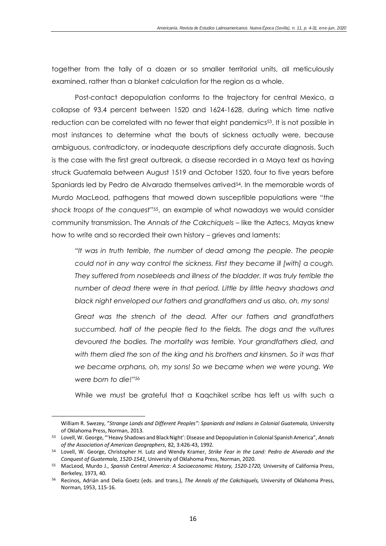together from the tally of a dozen or so smaller territorial units, all meticulously examined, rather than a blanket calculation for the region as a whole.

Post-contact depopulation conforms to the trajectory for central Mexico, a collapse of 93.4 percent between 1520 and 1624-1628, during which time native reduction can be correlated with no fewer that eight pandemics<sup>53</sup>. It is not possible in most instances to determine what the bouts of sickness actually were, because ambiguous, contradictory, or inadequate descriptions defy accurate diagnosis. Such is the case with the first great outbreak, a disease recorded in a Maya text as having struck Guatemala between August 1519 and October 1520, four to five years before Spaniards led by Pedro de Alvarado themselves arrived<sup>54</sup>. In the memorable words of Murdo MacLeod, pathogens that mowed down susceptible populations were "*the shock troops of the conquest*"55, an example of what nowadays we would consider community transmission. The *Annals of the Cakchiquels* – like the Aztecs, Mayas knew how to write and so recorded their own history – grieves and laments:

*"It was in truth terrible, the number of dead among the people. The people could not in any way control the sickness. First they became ill [with] a cough. They suffered from nosebleeds and illness of the bladder. It was truly terrible the number of dead there were in that period. Little by little heavy shadows and black night enveloped our fathers and grandfathers and us also, oh, my sons!*

*Great was the strench of the dead. After our fathers and grandfathers succumbed, half of the people fled to the fields. The dogs and the vultures devoured the bodies. The mortality was terrible. Your grandfathers died, and with them died the son of the king and his brothers and kinsmen. So it was that we became orphans, oh, my sons! So we became when we were young. We were born to die!"<sup>56</sup>*

While we must be grateful that a Kaqchikel scribe has left us with such a

William R. Swezey, "*Strange Lands and Different Peoples": Spaniards and Indians in Colonial Guatemala,* University of Oklahoma Press, Norman, 2013.

<sup>53</sup> Lovell, W. George, "'Heavy Shadows and Black Night': Disease and Depopulation in Colonial Spanish America", *Annals of the Association of American Geographers*, 82, 3:426-43, 1992.

<sup>54</sup> Lovell, W. George, Christopher H. Lutz and Wendy Kramer, *Strike Fear in the Land: Pedro de Alvarado and the Conquest of Guatemala, 1520-1541,* University of Oklahoma Press, Norman, 2020.

<sup>55</sup> MacLeod, Murdo J., *Spanish Central America*: *A Socioeconomic History, 1520-1720,* University of California Press, Berkeley, 1973, 40.

<sup>56</sup> Recinos, Adrián and Delia Goetz (eds. and trans.), *The Annals of the Cakchiquels,* University of Oklahoma Press, Norman, 1953, 115-16.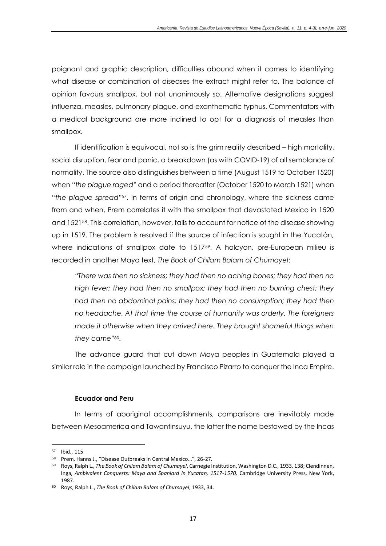poignant and graphic description, difficulties abound when it comes to identifying what disease or combination of diseases the extract might refer to. The balance of opinion favours smallpox, but not unanimously so. Alternative designations suggest influenza, measles, pulmonary plague, and exanthematic typhus. Commentators with a medical background are more inclined to opt for a diagnosis of measles than smallpox.

If identification is equivocal, not so is the grim reality described – high mortality, social disruption, fear and panic, a breakdown (as with COVID-19) of all semblance of normality. The source also distinguishes between a time (August 1519 to October 1520) when "*the plague raged*" and a period thereafter (October 1520 to March 1521) when "*the plague spread*"57. In terms of origin and chronology, where the sickness came from and when, Prem correlates it with the smallpox that devastated Mexico in 1520 and 152158. This correlation, however, fails to account for notice of the disease showing up in 1519. The problem is resolved if the source of infection is sought in the Yucatán, where indications of smallpox date to 1517<sup>59</sup>. A halcyon, pre-European milieu is recorded in another Maya text, *The Book of Chilam Balam of Chumayel*:

*"There was then no sickness; they had then no aching bones; they had then no high fever; they had then no smallpox; they had then no burning chest; they had then no abdominal pains; they had then no consumption; they had then no headache. At that time the course of humanity was orderly. The foreigners made it otherwise when they arrived here. They brought shameful things when they came"60.*

The advance guard that cut down Maya peoples in Guatemala played a similar role in the campaign launched by Francisco Pizarro to conquer the Inca Empire.

# **Ecuador and Peru**

In terms of aboriginal accomplishments, comparisons are inevitably made between Mesoamerica and Tawantinsuyu, the latter the name bestowed by the Incas

<sup>57</sup> Ibid., 115

<sup>58</sup> Prem, Hanns J., "Disease Outbreaks in Central Mexico…", 26-27.

<sup>59</sup> Roys, Ralph L., *The Book of Chilam Balam of Chumayel*, Carnegie Institution, Washington D.C., 1933, 138; Clendinnen, Inga, *Ambivalent Conquests: Maya and Spaniard in Yucatan, 1517-1570,* Cambridge University Press, New York, 1987.

<sup>60</sup> Roys, Ralph L., *The Book of Chilam Balam of Chumayel*, 1933, 34.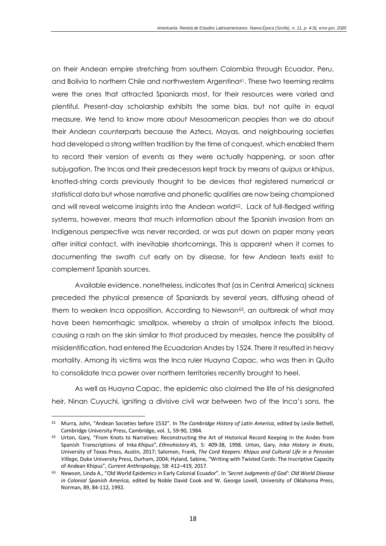on their Andean empire stretching from southern Colombia through Ecuador, Peru, and Bolivia to northern Chile and northwestern Argentina<sup>61</sup>. These two teeming realms were the ones that attracted Spaniards most, for their resources were varied and plentiful. Present-day scholarship exhibits the same bias, but not quite in equal measure. We tend to know more about Mesoamerican peoples than we do about their Andean counterparts because the Aztecs, Mayas, and neighbouring societies had developed a strong written tradition by the time of conquest, which enabled them to record their version of events as they were actually happening, or soon after subjugation. The Incas and their predecessors kept track by means of *quipus* or *khipus*, knotted-string cords previously thought to be devices that registered numerical or statistical data but whose narrative and phonetic qualities are now being championed and will reveal welcome insights into the Andean world<sup>62</sup>. Lack of full-fledged writing systems, however, means that much information about the Spanish invasion from an Indigenous perspective was never recorded, or was put down on paper many years after initial contact, with inevitable shortcomings. This is apparent when it comes to documenting the swath cut early on by disease, for few Andean texts exist to complement Spanish sources.

Available evidence, nonetheless, indicates that (as in Central America) sickness preceded the physical presence of Spaniards by several years, diffusing ahead of them to weaken Inca opposition. According to Newson<sup>63</sup>, an outbreak of what may have been hemorrhagic smallpox, whereby a strain of smallpox infects the blood, causing a rash on the skin similar to that produced by measles, hence the possiblity of misidentification, had entered the Ecuadorian Andes by 1524. There it resulted in heavy mortality. Among its victims was the Inca ruler Huayna Capac, who was then in Quito to consolidate Inca power over northern territories recently brought to heel.

As well as Huayna Capac, the epidemic also claimed the life of his designated heir, Ninan Cuyuchi, igniting a divisive civil war between two of the Inca's sons, the

<sup>61</sup> Murra, John, "Andean Societies before 1532". In *The Cambridge History of Latin America*, edited by Leslie Bethell, Cambridge University Press, Cambridge, vol. 1, 59-90, 1984.

<sup>62</sup> Urton, Gary, "From Knots to Narratives: Reconstructing the Art of Historical Record Keeping in the Andes from Spanish Transcriptions of Inka *Khipus*", *Ethnohistory* 45, 5: 409-38, 1998. Urton, Gary, *Inka History in Knots*, University of Texas Press, Austin, 2017; Salomon, Frank, *The Cord Keepers: Khipus and Cultural Life in a Peruvian Village*, Duke University Press, Durham, 2004; Hyland, Sabine, "Writing with Twisted Cords: The Inscriptive Capacity of Andean Khipus", *Current Anthropology*, 58: 412–419, 2017.

<sup>63</sup> Newson, Linda A., "Old World Epidemics in Early Colonial Ecuador". In '*Secret Judgments of God'*: *Old World Disease in Colonial Spanish America,* edited by Noble David Cook and W. George Lovell, University of Oklahoma Press, Norman, 89, 84-112, 1992.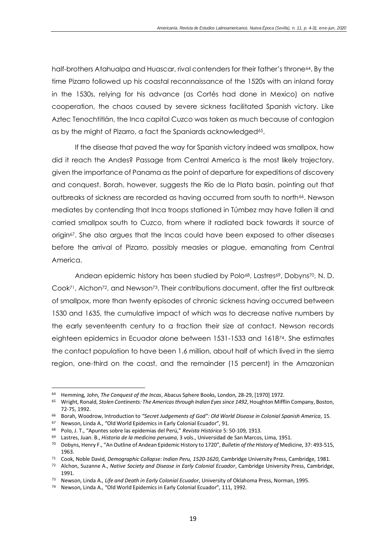half-brothers Atahualpa and Huascar, rival contenders for their father's throne<sup>64</sup>. By the time Pizarro followed up his coastal reconnaissance of the 1520s with an inland foray in the 1530s, relying for his advance (as Cortés had done in Mexico) on native cooperation, the chaos caused by severe sickness facilitated Spanish victory. Like Aztec Tenochtitlán, the Inca capital Cuzco was taken as much because of contagion as by the might of Pizarro, a fact the Spaniards acknowledged<sup>65</sup>.

If the disease that paved the way for Spanish victory indeed was smallpox, how did it reach the Andes? Passage from Central America is the most likely trajectory, given the importance of Panama as the point of departure for expeditions of discovery and conquest. Borah, however, suggests the Río de la Plata basin, pointing out that outbreaks of sickness are recorded as having occurred from south to north<sup>66</sup>. Newson mediates by contending that Inca troops stationed in Túmbez may have fallen ill and carried smallpox south to Cuzco, from where it radiated back towards it source of origin67. She also argues that the Incas could have been exposed to other diseases before the arrival of Pizarro, possibly measles or plague, emanating from Central America.

Andean epidemic history has been studied by Polo<sup>68</sup>, Lastres<sup>69</sup>, Dobyns<sup>70</sup>, N. D. Cook<sup>71</sup>, Alchon<sup>72</sup>, and Newson<sup>73</sup>. Their contributions document, after the first outbreak of smallpox, more than twenty episodes of chronic sickness having occurred between 1530 and 1635, the cumulative impact of which was to decrease native numbers by the early seventeenth century to a fraction their size at contact. Newson records eighteen epidemics in Ecuador alone between 1531-1533 and 161874. She estimates the contact population to have been 1.6 million, about half of which lived in the sierra region, one-third on the coast, and the remainder (15 percent) in the Amazonian

<sup>64</sup> Hemming, John, *The Conquest of the Incas*, Abacus Sphere Books, London, 28-29, [1970] 1972.

<sup>65</sup> Wright, Ronald, *Stolen Continents: The Americas through Indian Eyes since 1492*, Houghton Mifflin Company, Boston, 72-75, 1992.

<sup>66</sup> Borah, Woodrow, Introduction to *"Secret Judgements of God": Old World Disease in Colonial Spanish America*, 15.

<sup>67</sup> Newson, Linda A., "Old World Epidemics in Early Colonial Ecuador", 91.

<sup>68</sup> Polo, J. T., "Apuntes sobre las epidemias del Perú," *Revista Histórica* 5: 50-109, 1913.

<sup>69</sup> Lastres, Juan. B., *Historia de la medicina peruana*, 3 vols., Universidad de San Marcos, Lima, 1951.

<sup>70</sup> Dobyns, Henry F., "An Outline of Andean Epidemic History to 1720", *Bulletin of the History of* Medicine, 37: 493-515, 1963.

<sup>71</sup> Cook, Noble David, *Demographic Collapse: Indian Peru, 1520-1620*, Cambridge University Press, Cambridge, 1981.

<sup>72</sup> Alchon, Suzanne A., *Native Society and Disease in Early Colonial Ecuador*, Cambridge University Press, Cambridge, 1991.

<sup>73</sup> Newson, Linda A., *Life and Death in Early Colonial Ecuador*, University of Oklahoma Press, Norman, 1995.

<sup>74</sup> Newson, Linda A., "Old World Epidemics in Early Colonial Ecuador", 111, 1992.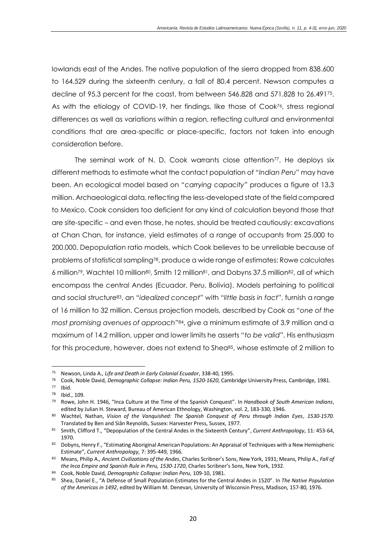lowlands east of the Andes. The native population of the sierra dropped from 838.600 to 164.529 during the sixteenth century, a fall of 80.4 percent. Newson computes a decline of 95.3 percent for the coast, from between 546.828 and 571.828 to 26.49175. As with the etiology of COVID-19, her findings, like those of Cook<sup>76</sup>, stress regional differences as well as variations within a region, reflecting cultural and environmental conditions that are area-specific or place-specific, factors not taken into enough consideration before.

The seminal work of N. D. Cook warrants close attention<sup>77</sup>. He deploys six different methods to estimate what the contact population of "*Indian Peru*" may have been. An ecological model based on "*carrying capacity*" produces a figure of 13.3 million. Archaeological data, reflecting the less-developed state of the field compared to Mexico, Cook considers too deficient for any kind of calculation beyond those that are site-specific – and even those, he notes, should be treated cautiously: excavations at Chan Chan, for instance, yield estimates of a range of occupants from 25.000 to 200.000. Depopulation ratio models, which Cook believes to be unreliable because of problems of statistical sampling78, produce a wide range of estimates: Rowe calculates 6 million79, Wachtel 10 million80, Smith 12 million81, and Dobyns 37.5 million82, all of which encompass the central Andes (Ecuador, Peru, Bolivia). Models pertaining to political and social structure83, an "*idealized concept*" with "*little basis in fact*", furnish a range of 16 million to 32 million. Census projection models, described by Cook as "*one of the most promising avenues of approach*"84, give a minimum estimate of 3.9 million and a maximum of 14.2 million, upper and lower limits he asserts "*to be valid*". His enthusiasm for this procedure, however, does not extend to Shea<sup>85</sup>, whose estimate of 2 million to

<sup>75</sup> Newson, Linda A., *Life and Death in Early Colonial Ecuador*, 338-40, 1995.

<sup>76</sup> Cook, Noble David, *Demographic Collapse: Indian Peru, 1520-1620*, Cambridge University Press, Cambridge, 1981.

<sup>77</sup> Ibid.

<sup>&</sup>lt;sup>78</sup> Ibid., 109.

<sup>79</sup> Rowe, John H. 1946, "Inca Culture at the Time of the Spanish Conquest". In *Handbook of South American Indians*, edited by Julian H. Steward, Bureau of American Ethnology, Washington, vol. 2, 183-330, 1946.

<sup>80</sup> Wachtel, Nathan, *Vision of the Vanquished: The Spanish Conquest of Peru through Indian Eyes*, *1530-1570*. Translated by Ben and Siân Reynolds, Sussex: Harvester Press, Sussex, 1977.

<sup>81</sup> Smith, Clifford T., "Depopulation of the Central Andes in the Sixteenth Century", *Current Anthropology*, 11: 453-64, 1970.

<sup>82</sup> Dobyns, Henry F., "Estimating Aboriginal American Populations: An Appraisal of Techniques with a New Hemispheric Estimate", *Current Anthropology*, 7: 395-449, 1966.

<sup>83</sup> Means, Philip A., *Ancien*t *Civilizations of the Andes*, Charles Scribner's Sons, New York, 1931; Means, Philip A., *Fall of the Inca Empire and Spanish Rule in Peru, 1530-1720*, Charles Scribner's Sons, New York, 1932.

<sup>84</sup> Cook, Noble David, *Demographic Collapse: Indian Peru*, 109-10, 1981.

<sup>85</sup> Shea, Daniel E., "A Defense of Small Population Estimates for the Central Andes in 1520". In *The Native Population of the Americas in 1492*, edited by William M. Denevan, University of Wisconsin Press, Madison, 157-80, 1976.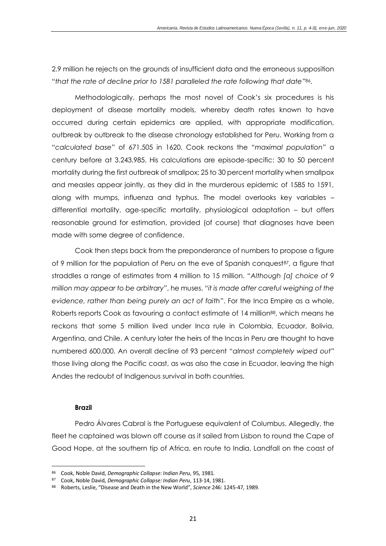2.9 million he rejects on the grounds of insufficient data and the erroneous supposition "*that the rate of decline prior to 1581 paralleled the rate following that date*"86.

Methodologically, perhaps the most novel of Cook's six procedures is his deployment of disease mortality models, whereby death rates known to have occurred during certain epidemics are applied, with appropriate modification, outbreak by outbreak to the disease chronology established for Peru. Working from a "*calculated base*" of 671.505 in 1620, Cook reckons the "*maximal population*" a century before at 3.243.985. His calculations are episode-specific: 30 to 50 percent mortality during the first outbreak of smallpox; 25 to 30 percent mortality when smallpox and measles appear jointly, as they did in the murderous epidemic of 1585 to 1591, along with mumps, influenza and typhus. The model overlooks key variables – differential mortality, age-specific mortality, physiological adaptation – but offers reasonable ground for estimation, provided (of course) that diagnoses have been made with some degree of confidence.

Cook then steps back from the preponderance of numbers to propose a figure of 9 million for the population of Peru on the eve of Spanish conquest<sup>87</sup>, a figure that straddles a range of estimates from 4 million to 15 million. "*Although [a] choice of 9 million may appear to be arbitrary*", he muses, "*it is made after careful weighing of the evidence, rather than being purely an act of faith*". For the Inca Empire as a whole, Roberts reports Cook as favouring a contact estimate of 14 million<sup>88</sup>, which means he reckons that some 5 million lived under Inca rule in Colombia, Ecuador, Bolivia, Argentina, and Chile. A century later the heirs of the Incas in Peru are thought to have numbered 600.000. An overall decline of 93 percent "*almost completely wiped out*" those living along the Pacific coast, as was also the case in Ecuador, leaving the high Andes the redoubt of Indigenous survival in both countries.

# **Brazil**

Pedro Álvares Cabral is the Portuguese equivalent of Columbus. Allegedly, the fleet he captained was blown off course as it sailed from Lisbon to round the Cape of Good Hope, at the southern tip of Africa, en route to India. Landfall on the coast of

<sup>86</sup> Cook, Noble David, *Demographic Collapse: Indian Peru*, 95, 1981.

<sup>87</sup> Cook, Noble David, *Demographic Collapse: Indian Peru*, 113-14, 1981.

<sup>88</sup> Roberts, Leslie, "Disease and Death in the New World", *Science* 246: 1245-47, 1989.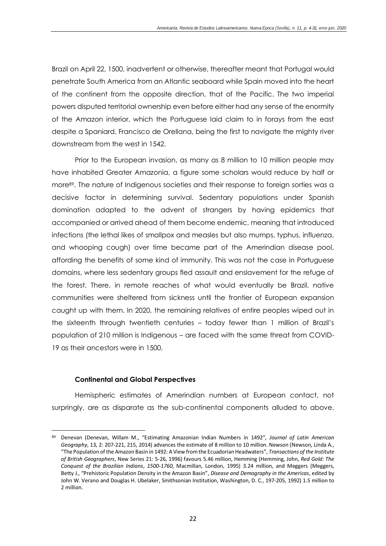Brazil on April 22, 1500, inadvertent or otherwise, thereafter meant that Portugal would penetrate South America from an Atlantic seaboard while Spain moved into the heart of the continent from the opposite direction, that of the Pacific. The two imperial powers disputed territorial ownership even before either had any sense of the enormity of the Amazon interior, which the Portuguese laid claim to in forays from the east despite a Spaniard, Francisco de Orellana, being the first to navigate the mighty river downstream from the west in 1542.

Prior to the European invasion, as many as 8 million to 10 million people may have inhabited Greater Amazonia, a figure some scholars would reduce by half or more89. The nature of Indigenous societies and their response to foreign sorties was a decisive factor in determining survival. Sedentary populations under Spanish domination adapted to the advent of strangers by having epidemics that accompanied or arrived ahead of them become endemic, meaning that introduced infections (the lethal likes of smallpox and measles but also mumps, typhus, influenza, and whooping cough) over time became part of the Amerindian disease pool, affording the benefits of some kind of immunity. This was not the case in Portuguese domains, where less sedentary groups fled assault and enslavement for the refuge of the forest. There, in remote reaches of what would eventually be Brazil, native communities were sheltered from sickness until the frontier of European expansion caught up with them. In 2020, the remaining relatives of entire peoples wiped out in the sixteenth through twentieth centuries – today fewer than 1 million of Brazil's population of 210 million is Indigenous – are faced with the same threat from COVID-19 as their ancestors were in 1500.

# **Continental and Global Perspectives**

Hemispheric estimates of Amerindian numbers at European contact, not surpringly, are as disparate as the sub-continental components alluded to above.

<sup>89</sup> Denevan (Denevan, Willam M., "Estimating Amazonian Indian Numbers in 1492", *Journal of Latin American Geography*, 13, 2: 207-221, 215, 2014) advances the estimate of 8 million to 10 million. Newson (Newson, Linda A., "The Population of the Amazon Basin in 1492: A View from the Ecuadorian Headwaters", *Transactions of the Institute of British Geographers*, New Series 21: 5-26, 1996) favours 5.46 million, Hemming (Hemming, John, *Red Gold: The Conquest of the Brazilian Indians*, *1500-1760*, Macmillan, London, 1995) 3.24 million, and Meggers (Meggers, Betty J., "Prehistoric Population Density in the Amazon Basin", *Disease and Demography in the Americas*, edited by John W. Verano and Douglas H. Ubelaker, Smithsonian Institution, Washington, D. C., 197-205, 1992) 1.5 million to 2 million.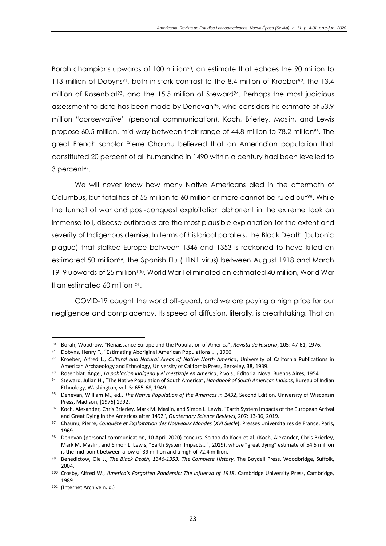Borah champions upwards of 100 million<sup>90</sup>, an estimate that echoes the 90 million to 113 million of Dobyns<sup>91</sup>, both in stark contrast to the 8.4 million of Kroeber<sup>92</sup>, the 13.4 million of Rosenblat<sup>93</sup>, and the 15.5 million of Steward<sup>94</sup>. Perhaps the most judicious assessment to date has been made by Denevan95, who considers his estimate of 53.9 million "*conservative*" (personal communication). Koch, Brierley, Maslin, and Lewis propose 60.5 million, mid-way between their range of 44.8 million to 78.2 million96. The great French scholar Pierre Chaunu believed that an Amerindian population that constituted 20 percent of all humankind in 1490 within a century had been levelled to 3 percent<sup>97</sup>.

We will never know how many Native Americans died in the aftermath of Columbus, but fatalities of 55 million to 60 million or more cannot be ruled out<sup>98</sup>. While the turmoil of war and post-conquest exploitation abhorrent in the extreme took an immense toll, disease outbreaks are the most plausible explanation for the extent and severity of Indigenous demise. In terms of historical parallels, the Black Death (bubonic plague) that stalked Europe between 1346 and 1353 is reckoned to have killed an estimated 50 million99, the Spanish Flu (H1N1 virus) between August 1918 and March 1919 upwards of 25 million<sup>100</sup>. World War I eliminated an estimated 40 million, World War II an estimated 60 million<sup>101</sup>.

COVID-19 caught the world off-guard, and we are paying a high price for our negligence and complacency. Its speed of diffusion, literally, is breathtaking. That an

<sup>90</sup> Borah, Woodrow, "Renaissance Europe and the Population of America", *Revista de Historia*, 105: 47-61, 1976.

<sup>91</sup> Dobyns, Henry F., "Estimating Aboriginal American Populations...", 1966.

<sup>92</sup> Kroeber, Alfred L., *Cultural and Natural Areas of Native North America*, University of California Publications in American Archaeology and Ethnology, University of California Press, Berkeley, 38, 1939.

<sup>93</sup> Rosenblat, Ángel, *La población indígena y el mestizaje en América*, 2 vols., Editorial Nova, Buenos Aires, 1954.

<sup>94</sup> Steward, Julian H., "The Native Population of South America", *Handbook of South American Indians*, Bureau of Indian Ethnology, Washington, vol. 5: 655-68, 1949.

<sup>95</sup> Denevan, William M., ed., *The Native Population of the Americas in 1492*, Second Edition, University of Wisconsin Press, Madison, [1976] 1992.

<sup>96</sup> Koch, Alexander, Chris Brierley, Mark M. Maslin, and Simon L. Lewis, "Earth System Impacts of the European Arrival and Great Dying in the Americas after 1492", *Quaternary Science Reviews*, 207: 13-36, 2019.

<sup>97</sup> Chaunu, Pierre, *Conquête et Exploitation des Nouveaux Mondes* (*XVI Siècle*), Presses Universitaires de France, Paris, 1969.

<sup>98</sup> Denevan (personal communication, 10 April 2020) concurs. So too do Koch et al. (Koch, Alexander, Chris Brierley, Mark M. Maslin, and Simon L. Lewis, "Earth System Impacts…", 2019), whose "great dying" estimate of 54.5 million is the mid-point between a low of 39 million and a high of 72.4 million.

<sup>99</sup> Benedictow, Ole J., *The Black Death, 1346-1353: The Complete History*, The Boydell Press, Woodbridge, Suffolk, 2004.

<sup>100</sup> Crosby, Alfred W., *America's Forgotten Pandemic: The Infuenza of 1918*, Cambridge University Press, Cambridge, 1989.

<sup>101</sup> (Internet Archive n. d.)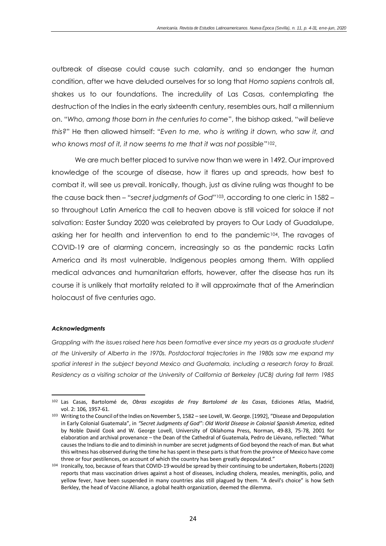outbreak of disease could cause such calamity, and so endanger the human condition, after we have deluded ourselves for so long that *Homo sapiens* controls all, shakes us to our foundations. The incredulity of Las Casas, contemplating the destruction of the Indies in the early sixteenth century, resembles ours, half a millennium on. "*Who, among those born in the centuries to come*", the bishop asked, "*will believe this?*" He then allowed himself: "*Even to me, who is writing it down, who saw it, and who knows most of it, it now seems to me that it was not possible*"102.

We are much better placed to survive now than we were in 1492. Our improved knowledge of the scourge of disease, how it flares up and spreads, how best to combat it, will see us prevail. Ironically, though, just as divine ruling was thought to be the cause back then – "*secret judgments of God*"103, according to one cleric in 1582 – so throughout Latin America the call to heaven above is still voiced for solace if not salvation: Easter Sunday 2020 was celebrated by prayers to Our Lady of Guadalupe, asking her for health and intervention to end to the pandemic104. The ravages of COVID-19 are of alarming concern, increasingly so as the pandemic racks Latin America and its most vulnerable, Indigenous peoples among them. With applied medical advances and humanitarian efforts, however, after the disease has run its course it is unlikely that mortality related to it will approximate that of the Amerindian holocaust of five centuries ago.

#### *Acknowledgments*

*Grappling with the issues raised here has been formative ever since my years as a graduate student at the University of Alberta in the 1970s. Postdoctoral trajectories in the 1980s saw me expand my*  spatial interest in the subject beyond Mexico and Guatemala, including a research foray to Brazil. *Residency as a visiting scholar at the University of California at Berkeley (UCB) during fall term 1985* 

<sup>102</sup> Las Casas, Bartolomé de, *Obras escogidas de Fray Bartolomé de las Casas*, Ediciones Atlas, Madrid, vol. 2: 106, 1957-61.

<sup>103</sup> Writing to the Council of the Indies on November 5, 1582 – see Lovell, W. George. [1992], "Disease and Depopulation in Early Colonial Guatemala", in *"Secret Judgments of God"*: *Old World Disease in Colonial Spanish America,* edited by Noble David Cook and W. George Lovell, University of Oklahoma Press, Norman, 49-83, 75-78, 2001 for elaboration and archival provenance – the Dean of the Cathedral of Guatemala, Pedro de Liévano, reflected: "What causes the Indians to die and to diminish in number are secret judgments of God beyond the reach of man. But what this witness has observed during the time he has spent in these parts is that from the province of Mexico have come three or four pestilences, on account of which the country has been greatly depopulated."

<sup>104</sup> Ironically, too, because of fears that COVID-19 would be spread by their continuing to be undertaken, Roberts (2020) reports that mass vaccination drives against a host of diseases, including cholera, measles, meningitis, polio, and yellow fever, have been suspended in many countries alas still plagued by them. "A devil's choice" is how Seth Berkley, the head of Vaccine Alliance, a global health organization, deemed the dilemma.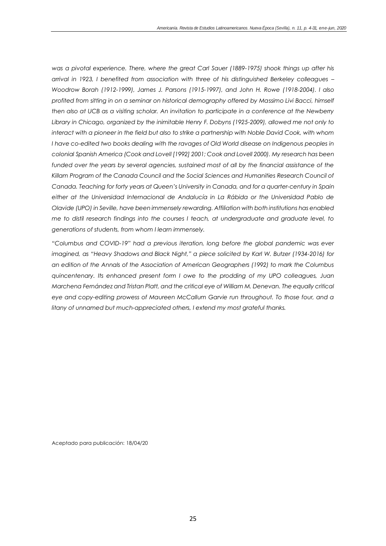*was a pivotal experience. There, where the great Carl Sauer (1889-1975) shook things up after his arrival in 1923, I benefited from association with three of his distinguished Berkeley colleagues – Woodrow Borah (1912-1999), James J. Parsons (1915-1997), and John H. Rowe (1918-2004). I also profited from sitting in on a seminar on historical demography offered by Massimo Livi Bacci, himself then also at UCB as a visiting scholar. An invitation to participate in a conference at the Newberry Library in Chicago, organized by the inimitable Henry F. Dobyns (1925-2009), allowed me not only to interact with a pioneer in the field but also to strike a partnership with Noble David Cook, with whom I have co-edited two books dealing with the ravages of Old World disease on Indigenous peoples in colonial Spanish America (Cook and Lovell [1992] 2001; Cook and Lovell 2000). My research has been*  funded over the years by several agencies, sustained most of all by the financial assistance of the Killam Program of the Canada Council and the Social Sciences and Humanities Research Council of *Canada. Teaching for forty years at Queen's University in Canada, and for a quarter-century in Spain either at the Universidad Internacional de Andalucía in La Rábida or the Universidad Pablo de Olavide (UPO) in Seville, have been immensely rewarding. Affiliation with both institutions has enabled me to distil research findings into the courses I teach, at undergraduate and graduate level, to generations of students, from whom I learn immensely.* 

*"Columbus and COVID-19" had a previous iteration, long before the global pandemic was ever imagined, as "Heavy Shadows and Black Night," a piece solicited by Karl W. Butzer (1934-2016) for an edition of the Annals of the Association of American Geographers (1992) to mark the Columbus quincentenary. Its enhanced present form I owe to the prodding of my UPO colleagues, Juan Marchena Fernández and Tristan Platt, and the critical eye of William M. Denevan. The equally critical eye and copy-editing prowess of Maureen McCallum Garvie run throughout. To those four, and a litany of unnamed but much-appreciated others, I extend my most grateful thanks.* 

Aceptado para publicación: 18/04/20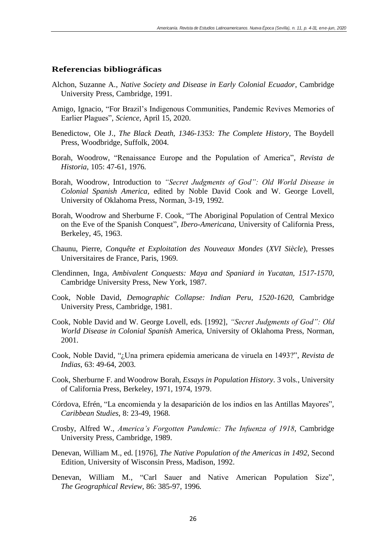# **Referencias bibliográficas**

- Alchon, Suzanne A., *Native Society and Disease in Early Colonial Ecuador*, Cambridge University Press, Cambridge, 1991.
- Amigo, Ignacio, "For Brazil's Indigenous Communities, Pandemic Revives Memories of Earlier Plagues", *Science*, April 15, 2020.
- Benedictow, Ole J., *The Black Death, 1346-1353: The Complete History*, The Boydell Press, Woodbridge, Suffolk, 2004.
- Borah, Woodrow, "Renaissance Europe and the Population of America", *Revista de Historia*, 105: 47-61, 1976.
- Borah, Woodrow, Introduction to *"Secret Judgments of God": Old World Disease in Colonial Spanish America*, edited by Noble David Cook and W. George Lovell, University of Oklahoma Press, Norman, 3-19, 1992.
- Borah, Woodrow and Sherburne F. Cook, "The Aboriginal Population of Central Mexico on the Eve of the Spanish Conquest", *Ibero-Americana*, University of California Press, Berkeley, 45, 1963.
- Chaunu, Pierre, *Conquête et Exploitation des Nouveaux Mondes* (*XVI Siècle*), Presses Universitaires de France, Paris, 1969.
- Clendinnen, Inga, *Ambivalent Conquests: Maya and Spaniard in Yucatan, 1517-1570*, Cambridge University Press, New York, 1987.
- Cook, Noble David, *Demographic Collapse: Indian Peru, 1520-1620*, Cambridge University Press, Cambridge, 1981.
- Cook, Noble David and W. George Lovell, eds. [1992], *"Secret Judgments of God": Old World Disease in Colonial Spanish* America, University of Oklahoma Press, Norman, 2001.
- Cook, Noble David, "¿Una primera epidemia americana de viruela en 1493?", *Revista de Indias*, 63: 49-64, 2003.
- Cook, Sherburne F. and Woodrow Borah, *Essays in Population History*. 3 vols., University of California Press, Berkeley, 1971, 1974, 1979.
- Córdova, Efrén, "La encomienda y la desaparición de los indios en las Antillas Mayores", *Caribbean Studies*, 8: 23-49, 1968.
- Crosby, Alfred W., *America's Forgotten Pandemic: The Infuenza of 1918*, Cambridge University Press, Cambridge, 1989.
- Denevan, William M., ed. [1976], *The Native Population of the Americas in 1492*, Second Edition, University of Wisconsin Press, Madison, 1992.
- Denevan, William M., "Carl Sauer and Native American Population Size", *The Geographical Review*, 86: 385-97, 1996.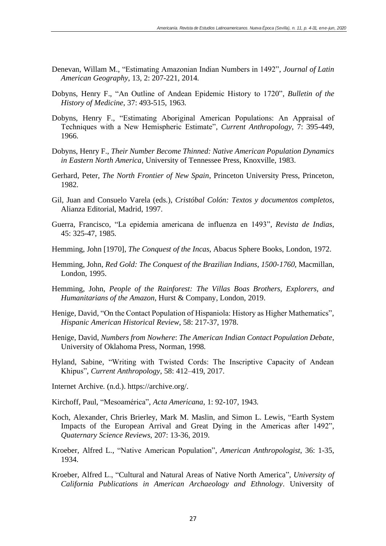- Denevan, Willam M., "Estimating Amazonian Indian Numbers in 1492", *Journal of Latin American Geography*, 13, 2: 207-221, 2014.
- Dobyns, Henry F., "An Outline of Andean Epidemic History to 1720", *Bulletin of the History of Medicine*, 37: 493-515, 1963.
- Dobyns, Henry F., "Estimating Aboriginal American Populations: An Appraisal of Techniques with a New Hemispheric Estimate", *Current Anthropology*, 7: 395-449, 1966.
- Dobyns, Henry F., *Their Number Become Thinned: Native American Population Dynamics in Eastern North America*, University of Tennessee Press, Knoxville, 1983.
- Gerhard, Peter, *The North Frontier of New Spain*, Princeton University Press, Princeton, 1982.
- Gil, Juan and Consuelo Varela (eds.), *Cristóbal Colón: Textos y documentos completos*, Alianza Editorial, Madrid, 1997.
- Guerra, Francisco, "La epidemia americana de influenza en 1493", *Revista de Indias*, 45: 325-47, 1985.
- Hemming, John [1970], *The Conquest of the Incas*, Abacus Sphere Books, London, 1972.
- Hemming, John, *Red Gold: The Conquest of the Brazilian Indians*, *1500-1760*, Macmillan, London, 1995.
- Hemming, John, *People of the Rainforest: The Villas Boas Brothers, Explorers, and Humanitarians of the Amazon*, Hurst & Company, London, 2019.
- Henige, David, "On the Contact Population of Hispaniola: History as Higher Mathematics", *Hispanic American Historical Review*, 58: 217-37, 1978.
- Henige, David, *Numbers from Nowhere*: *The American Indian Contact Population Debate*, University of Oklahoma Press, Norman, 1998.
- Hyland, Sabine, "Writing with Twisted Cords: The Inscriptive Capacity of Andean Khipus", *Current Anthropology*, 58: 412–419, 2017.
- Internet Archive. (n.d.). https://archive.org/.
- Kirchoff, Paul, "Mesoamérica", *Acta Americana*, 1: 92-107, 1943.
- Koch, Alexander, Chris Brierley, Mark M. Maslin, and Simon L. Lewis, "Earth System Impacts of the European Arrival and Great Dying in the Americas after 1492", *Quaternary Science Reviews*, 207: 13-36, 2019.
- Kroeber, Alfred L., "Native American Population", *American Anthropologist*, 36: 1-35, 1934.
- Kroeber, Alfred L., "Cultural and Natural Areas of Native North America", *University of California Publications in American Archaeology and Ethnology*. University of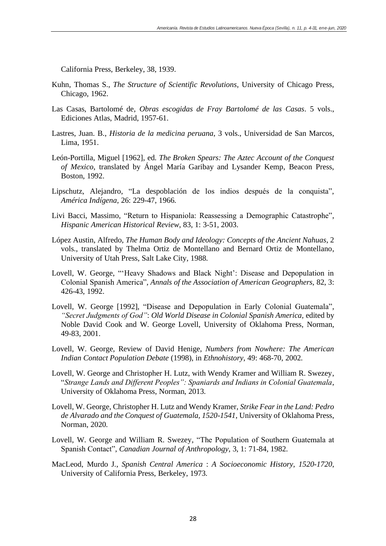California Press, Berkeley, 38, 1939.

- Kuhn, Thomas S., *The Structure of Scientific Revolutions*, University of Chicago Press, Chicago, 1962.
- Las Casas, Bartolomé de, *Obras escogidas de Fray Bartolomé de las Casas*. 5 vols., Ediciones Atlas, Madrid, 1957-61.
- Lastres, Juan. B., *Historia de la medicina peruana*, 3 vols., Universidad de San Marcos, Lima, 1951.
- León-Portilla, Miguel [1962], ed. *The Broken Spears: The Aztec Account of the Conquest of Mexico*, translated by Ángel María Garibay and Lysander Kemp, Beacon Press, Boston, 1992.
- Lipschutz, Alejandro, "La despoblación de los indios después de la conquista", *América Indígena*, 26: 229-47, 1966.
- Livi Bacci, Massimo, "Return to Hispaniola: Reassessing a Demographic Catastrophe", *Hispanic American Historical Review*, 83, 1: 3-51, 2003.
- López Austin, Alfredo, *The Human Body and Ideology: Concepts of the Ancient Nahuas*, 2 vols., translated by Thelma Ortiz de Montellano and Bernard Ortiz de Montellano, University of Utah Press, Salt Lake City, 1988.
- Lovell, W. George, "'Heavy Shadows and Black Night': Disease and Depopulation in Colonial Spanish America", *Annals of the Association of American Geographers*, 82, 3: 426-43, 1992.
- Lovell, W. George [1992], "Disease and Depopulation in Early Colonial Guatemala", *"Secret Judgments of God"*: *Old World Disease in Colonial Spanish America,* edited by Noble David Cook and W. George Lovell, University of Oklahoma Press, Norman, 49-83, 2001.
- Lovell, W. George, Review of David Henige, *Numbers from Nowhere: The American Indian Contact Population Debate* (1998), in *Ethnohistory*, 49: 468-70, 2002.
- Lovell, W. George and Christopher H. Lutz, with Wendy Kramer and William R. Swezey, "*Strange Lands and Different Peoples": Spaniards and Indians in Colonial Guatemala*, University of Oklahoma Press, Norman, 2013.
- Lovell, W. George, Christopher H. Lutz and Wendy Kramer, *Strike Fear in the Land: Pedro de Alvarado and the Conquest of Guatemala, 1520-1541*, University of Oklahoma Press, Norman, 2020.
- Lovell, W. George and William R. Swezey, "The Population of Southern Guatemala at Spanish Contact", *Canadian Journal of Anthropology*, 3, 1: 71-84, 1982.
- MacLeod, Murdo J., *Spanish Central America* : *A Socioeconomic History, 1520-1720*, University of California Press, Berkeley, 1973.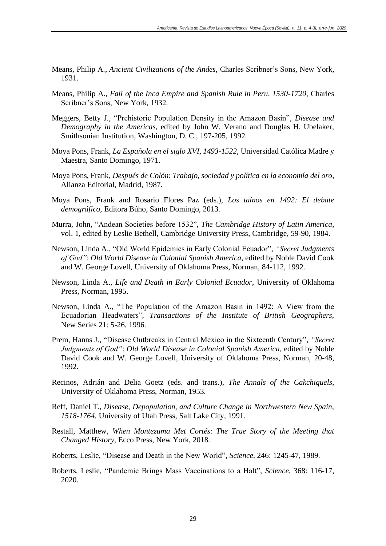- Means, Philip A., *Ancient Civilizations of the Andes*, Charles Scribner's Sons, New York, 1931.
- Means, Philip A., *Fall of the Inca Empire and Spanish Rule in Peru, 1530-1720*, Charles Scribner's Sons, New York, 1932.
- Meggers, Betty J., "Prehistoric Population Density in the Amazon Basin", *Disease and Demography in the Americas*, edited by John W. Verano and Douglas H. Ubelaker, Smithsonian Institution, Washington, D. C., 197-205, 1992.
- Moya Pons, Frank, *La Española en el siglo XVI, 1493-1522*, Universidad Católica Madre y Maestra, Santo Domingo, 1971.
- Moya Pons, Frank, *Después de Colón*: *Trabajo, sociedad y política en la economía del oro*, Alianza Editorial, Madrid, 1987.
- Moya Pons, Frank and Rosario Flores Paz (eds.), *Los taínos en 1492: El debate demográfico*, Editora Búho, Santo Domingo, 2013.
- Murra, John, "Andean Societies before 1532", *The Cambridge History of Latin America*, vol. 1, edited by Leslie Bethell, Cambridge University Press, Cambridge, 59-90, 1984.
- Newson, Linda A., "Old World Epidemics in Early Colonial Ecuador", *"Secret Judgments of God"*: *Old World Disease in Colonial Spanish America,* edited by Noble David Cook and W. George Lovell, University of Oklahoma Press, Norman, 84-112, 1992.
- Newson, Linda A., *Life and Death in Early Colonial Ecuador*, University of Oklahoma Press, Norman, 1995.
- Newson, Linda A., "The Population of the Amazon Basin in 1492: A View from the Ecuadorian Headwaters", *Transactions of the Institute of British Geographers*, New Series 21: 5-26, 1996.
- Prem, Hanns J., "Disease Outbreaks in Central Mexico in the Sixteenth Century", *"Secret Judgments of God"*: *Old World Disease in Colonial Spanish America,* edited by Noble David Cook and W. George Lovell, University of Oklahoma Press, Norman, 20-48, 1992.
- Recinos, Adrián and Delia Goetz (eds. and trans.), *The Annals of the Cakchiquels*, University of Oklahoma Press, Norman, 1953.
- Reff, Daniel T., *Disease, Depopulation, and Culture Change in Northwestern New Spain, 1518-1764*, University of Utah Press, Salt Lake City, 1991.
- Restall, Matthew, *When Montezuma Met Cortés*: *The True Story of the Meeting that Changed History*, Ecco Press, New York, 2018.
- Roberts, Leslie, "Disease and Death in the New World", *Science*, 246: 1245-47, 1989.
- Roberts, Leslie, "Pandemic Brings Mass Vaccinations to a Halt", *Science*, 368: 116-17, 2020.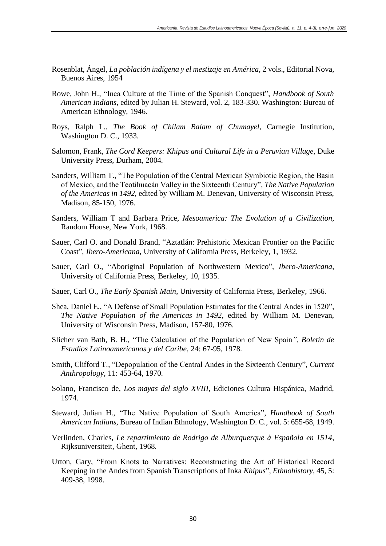- Rosenblat, Ángel, *La población indígena y el mestizaje en América*, 2 vols., Editorial Nova, Buenos Aires, 1954
- Rowe, John H., "Inca Culture at the Time of the Spanish Conquest", *Handbook of South American Indians*, edited by Julian H. Steward, vol. 2, 183-330. Washington: Bureau of American Ethnology, 1946.
- Roys, Ralph L., *The Book of Chilam Balam of Chumayel*, Carnegie Institution, Washington D. C., 1933.
- Salomon, Frank, *The Cord Keepers: Khipus and Cultural Life in a Peruvian Village*, Duke University Press, Durham, 2004.
- Sanders, William T., "The Population of the Central Mexican Symbiotic Region, the Basin of Mexico, and the Teotihuacán Valley in the Sixteenth Century", *The Native Population of the Americas in 1492*, edited by William M. Denevan, University of Wisconsin Press, Madison, 85-150, 1976.
- Sanders, William T and Barbara Price, *Mesoamerica: The Evolution of a Civilization*, Random House, New York, 1968.
- Sauer, Carl O. and Donald Brand, "Aztatlán: Prehistoric Mexican Frontier on the Pacific Coast", *Ibero-Americana*, University of California Press, Berkeley, 1, 1932.
- Sauer, Carl O., "Aboriginal Population of Northwestern Mexico", *Ibero-Americana*, University of California Press, Berkeley, 10, 1935.
- Sauer, Carl O., *The Early Spanish Main*, University of California Press, Berkeley, 1966.
- Shea, Daniel E., "A Defense of Small Population Estimates for the Central Andes in 1520", *The Native Population of the Americas in 1492*, edited by William M. Denevan, University of Wisconsin Press, Madison, 157-80, 1976.
- Slicher van Bath, B. H., "The Calculation of the Population of New Spain*", Boletín de Estudios Latinoamericanos y del Caribe*, 24: 67-95, 1978.
- Smith, Clifford T., "Depopulation of the Central Andes in the Sixteenth Century", *Current Anthropology*, 11: 453-64, 1970.
- Solano, Francisco de, *Los mayas del siglo XVIII*, Ediciones Cultura Hispánica, Madrid, 1974.
- Steward, Julian H., "The Native Population of South America", *Handbook of South American Indians*, Bureau of Indian Ethnology, Washington D. C., vol. 5: 655-68, 1949.
- Verlinden, Charles, *Le repartimiento de Rodrigo de Alburquerque à Española en 1514*, Rijksuniversiteit, Ghent, 1968.
- Urton, Gary, "From Knots to Narratives: Reconstructing the Art of Historical Record Keeping in the Andes from Spanish Transcriptions of Inka *Khipus*", *Ethnohistory*, 45, 5: 409-38, 1998.